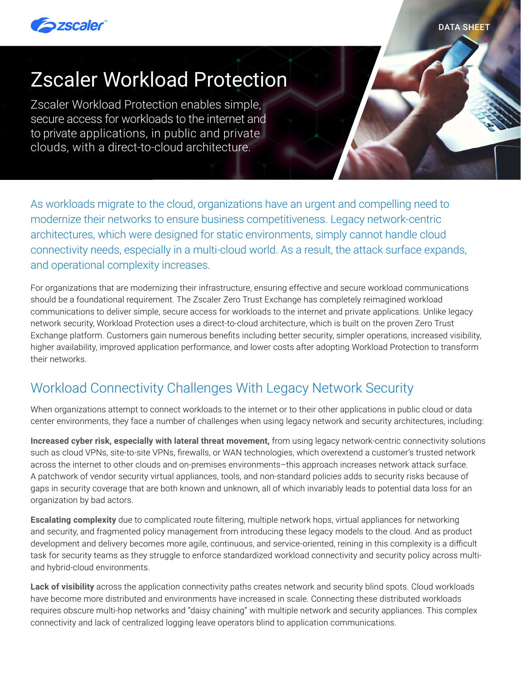

DATA SHEET

# Zscaler Workload Protection

Zscaler Workload Protection enables simple, secure access for workloads to the internet and to private applications, in public and private clouds, with a direct-to-cloud architecture.

As workloads migrate to the cloud, organizations have an urgent and compelling need to modernize their networks to ensure business competitiveness. Legacy network-centric architectures, which were designed for static environments, simply cannot handle cloud connectivity needs, especially in a multi-cloud world. As a result, the attack surface expands, and operational complexity increases.

For organizations that are modernizing their infrastructure, ensuring effective and secure workload communications should be a foundational requirement. The Zscaler Zero Trust Exchange has completely reimagined workload communications to deliver simple, secure access for workloads to the internet and private applications. Unlike legacy network security, Workload Protection uses a direct-to-cloud architecture, which is built on the proven Zero Trust Exchange platform. Customers gain numerous benefits including better security, simpler operations, increased visibility, higher availability, improved application performance, and lower costs after adopting Workload Protection to transform their networks.

# Workload Connectivity Challenges With Legacy Network Security

When organizations attempt to connect workloads to the internet or to their other applications in public cloud or data center environments, they face a number of challenges when using legacy network and security architectures, including:

**Increased cyber risk, especially with lateral threat movement,** from using legacy network-centric connectivity solutions such as cloud VPNs, site-to-site VPNs, firewalls, or WAN technologies, which overextend a customer's trusted network across the internet to other clouds and on-premises environments–this approach increases network attack surface. A patchwork of vendor security virtual appliances, tools, and non-standard policies adds to security risks because of gaps in security coverage that are both known and unknown, all of which invariably leads to potential data loss for an organization by bad actors.

**Escalating complexity** due to complicated route filtering, multiple network hops, virtual appliances for networking and security, and fragmented policy management from introducing these legacy models to the cloud. And as product development and delivery becomes more agile, continuous, and service-oriented, reining in this complexity is a difficult task for security teams as they struggle to enforce standardized workload connectivity and security policy across multiand hybrid-cloud environments.

**Lack of visibility** across the application connectivity paths creates network and security blind spots. Cloud workloads have become more distributed and environments have increased in scale. Connecting these distributed workloads requires obscure multi-hop networks and "daisy chaining" with multiple network and security appliances. This complex connectivity and lack of centralized logging leave operators blind to application communications.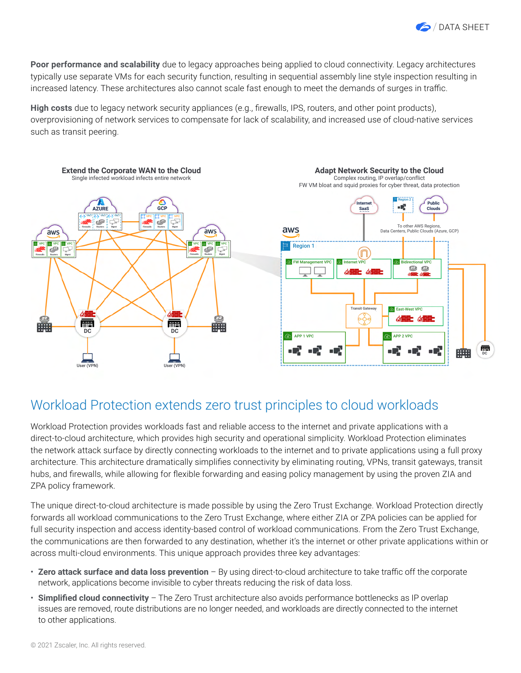

**Poor performance and scalability** due to legacy approaches being applied to cloud connectivity. Legacy architectures typically use separate VMs for each security function, resulting in sequential assembly line style inspection resulting in increased latency. These architectures also cannot scale fast enough to meet the demands of surges in traffic.

**High costs** due to legacy network security appliances (e.g., firewalls, IPS, routers, and other point products), overprovisioning of network services to compensate for lack of scalability, and increased use of cloud-native services such as transit peering.



### Workload Protection extends zero trust principles to cloud workloads

Workload Protection provides workloads fast and reliable access to the internet and private applications with a direct-to-cloud architecture, which provides high security and operational simplicity. Workload Protection eliminates the network attack surface by directly connecting workloads to the internet and to private applications using a full proxy architecture. This architecture dramatically simplifies connectivity by eliminating routing, VPNs, transit gateways, transit hubs, and firewalls, while allowing for flexible forwarding and easing policy management by using the proven ZIA and ZPA policy framework.

The unique direct-to-cloud architecture is made possible by using the Zero Trust Exchange. Workload Protection directly forwards all workload communications to the Zero Trust Exchange, where either ZIA or ZPA policies can be applied for full security inspection and access identity-based control of workload communications. From the Zero Trust Exchange, the communications are then forwarded to any destination, whether it's the internet or other private applications within or across multi-cloud environments. This unique approach provides three key advantages:

- **Zero attack surface and data loss prevention** By using direct-to-cloud architecture to take traffic off the corporate network, applications become invisible to cyber threats reducing the risk of data loss.
- **Simplified cloud connectivity** The Zero Trust architecture also avoids performance bottlenecks as IP overlap issues are removed, route distributions are no longer needed, and workloads are directly connected to the internet to other applications.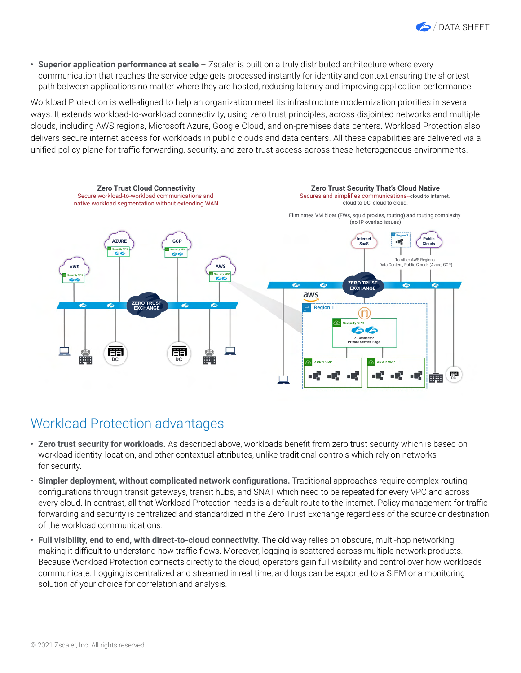

• **Superior application performance at scale** – Zscaler is built on a truly distributed architecture where every communication that reaches the service edge gets processed instantly for identity and context ensuring the shortest path between applications no matter where they are hosted, reducing latency and improving application performance.

Workload Protection is well-aligned to help an organization meet its infrastructure modernization priorities in several ways. It extends workload-to-workload connectivity, using zero trust principles, across disjointed networks and multiple clouds, including AWS regions, Microsoft Azure, Google Cloud, and on-premises data centers. Workload Protection also delivers secure internet access for workloads in public clouds and data centers. All these capabilities are delivered via a unified policy plane for traffic forwarding, security, and zero trust access across these heterogeneous environments.



### Workload Protection advantages

- **Zero trust security for workloads.** As described above, workloads benefit from zero trust security which is based on workload identity, location, and other contextual attributes, unlike traditional controls which rely on networks for security.
- **Simpler deployment, without complicated network configurations.** Traditional approaches require complex routing configurations through transit gateways, transit hubs, and SNAT which need to be repeated for every VPC and across every cloud. In contrast, all that Workload Protection needs is a default route to the internet. Policy management for traffic forwarding and security is centralized and standardized in the Zero Trust Exchange regardless of the source or destination of the workload communications.
- **Full visibility, end to end, with direct-to-cloud connectivity.** The old way relies on obscure, multi-hop networking making it difficult to understand how traffic flows. Moreover, logging is scattered across multiple network products. Because Workload Protection connects directly to the cloud, operators gain full visibility and control over how workloads communicate. Logging is centralized and streamed in real time, and logs can be exported to a SIEM or a monitoring solution of your choice for correlation and analysis.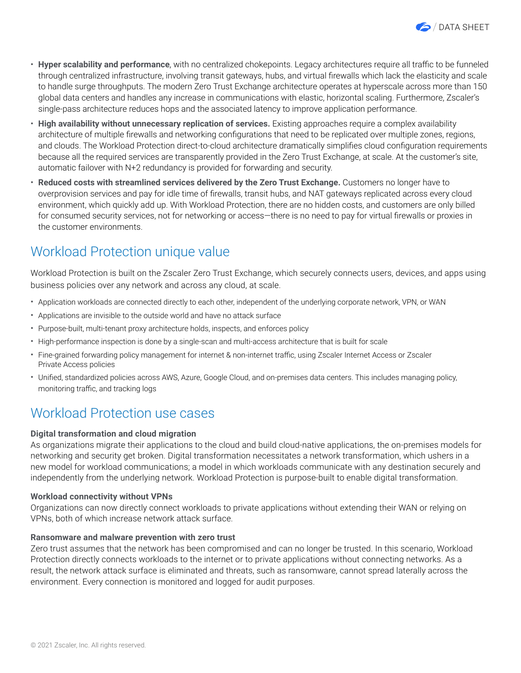

- **Hyper scalability and performance**, with no centralized chokepoints. Legacy architectures require all traffic to be funneled through centralized infrastructure, involving transit gateways, hubs, and virtual firewalls which lack the elasticity and scale to handle surge throughputs. The modern Zero Trust Exchange architecture operates at hyperscale across more than 150 global data centers and handles any increase in communications with elastic, horizontal scaling. Furthermore, Zscaler's single-pass architecture reduces hops and the associated latency to improve application performance.
- **High availability without unnecessary replication of services.** Existing approaches require a complex availability architecture of multiple firewalls and networking configurations that need to be replicated over multiple zones, regions, and clouds. The Workload Protection direct-to-cloud architecture dramatically simplifies cloud configuration requirements because all the required services are transparently provided in the Zero Trust Exchange, at scale. At the customer's site, automatic failover with N+2 redundancy is provided for forwarding and security.
- **Reduced costs with streamlined services delivered by the Zero Trust Exchange.** Customers no longer have to overprovision services and pay for idle time of firewalls, transit hubs, and NAT gateways replicated across every cloud environment, which quickly add up. With Workload Protection, there are no hidden costs, and customers are only billed for consumed security services, not for networking or access—there is no need to pay for virtual firewalls or proxies in the customer environments.

# Workload Protection unique value

Workload Protection is built on the Zscaler Zero Trust Exchange, which securely connects users, devices, and apps using business policies over any network and across any cloud, at scale.

- Application workloads are connected directly to each other, independent of the underlying corporate network, VPN, or WAN
- Applications are invisible to the outside world and have no attack surface
- Purpose-built, multi-tenant proxy architecture holds, inspects, and enforces policy
- High-performance inspection is done by a single-scan and multi-access architecture that is built for scale
- Fine-grained forwarding policy management for internet & non-internet traffic, using Zscaler Internet Access or Zscaler Private Access policies
- Unified, standardized policies across AWS, Azure, Google Cloud, and on-premises data centers. This includes managing policy, monitoring traffic, and tracking logs

### Workload Protection use cases

#### **Digital transformation and cloud migration**

As organizations migrate their applications to the cloud and build cloud-native applications, the on-premises models for networking and security get broken. Digital transformation necessitates a network transformation, which ushers in a new model for workload communications; a model in which workloads communicate with any destination securely and independently from the underlying network. Workload Protection is purpose-built to enable digital transformation.

#### **Workload connectivity without VPNs**

Organizations can now directly connect workloads to private applications without extending their WAN or relying on VPNs, both of which increase network attack surface.

#### **Ransomware and malware prevention with zero trust**

Zero trust assumes that the network has been compromised and can no longer be trusted. In this scenario, Workload Protection directly connects workloads to the internet or to private applications without connecting networks. As a result, the network attack surface is eliminated and threats, such as ransomware, cannot spread laterally across the environment. Every connection is monitored and logged for audit purposes.